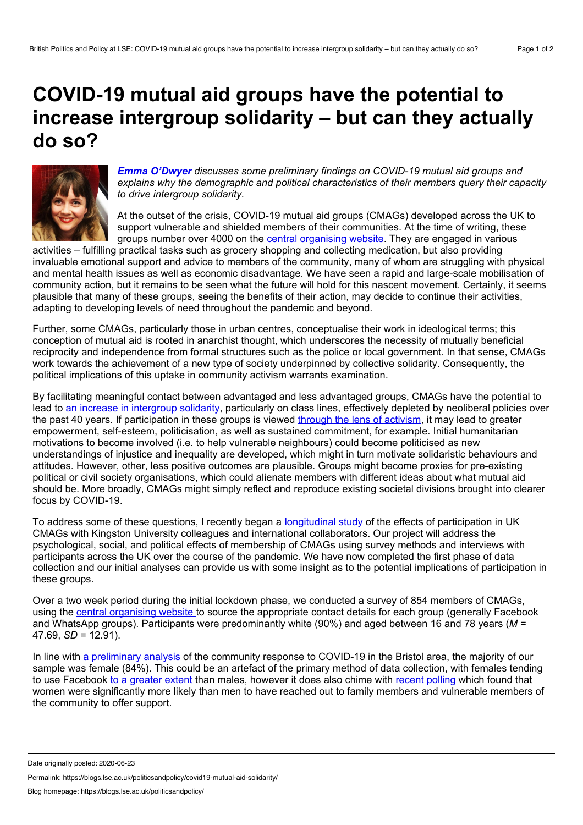## **COVID-19 mutual aid groups have the potential to increase intergroup solidarity – but can they actually do so?**



*Emma [O'Dwyer](https://www.kingston.ac.uk/staff/profile/dr-emma-o039dwyer-414/) discusses some preliminary findings on COVID-19 mutual aid groups and explains why the demographic and political characteristics of their members query their capacity to drive intergroup solidarity.*

At the outset of the crisis, COVID-19 mutual aid groups (CMAGs) developed across the UK to support vulnerable and shielded members of their communities. At the time of writing, these groups number over 4000 on the central [organising](http://covidmutualaid.org) website. They are engaged in various

activities – fulfilling practical tasks such as grocery shopping and collecting medication, but also providing invaluable emotional support and advice to members of the community, many of whom are struggling with physical and mental health issues as well as economic disadvantage. We have seen a rapid and large-scale mobilisation of community action, but it remains to be seen what the future will hold for this nascent movement. Certainly, it seems plausible that many of these groups, seeing the benefits of their action, may decide to continue their activities, adapting to developing levels of need throughout the pandemic and beyond.

Further, some CMAGs, particularly those in urban centres, conceptualise their work in ideological terms; this conception of mutual aid is rooted in anarchist thought, which underscores the necessity of mutually beneficial reciprocity and independence from formal structures such as the police or local government. In that sense, CMAGs work towards the achievement of a new type of society underpinned by collective solidarity. Consequently, the political implications of this uptake in community activism warrants examination.

By facilitating meaningful contact between advantaged and less advantaged groups, CMAGs have the potential to lead to an increase in [intergroup](http://concept.lib.ed.ac.uk/article/view/4365) solidarity, particularly on class lines, effectively depleted by neoliberal policies over the past 40 years. If participation in these groups is viewed through the lens of [activism,](https://www.tandfonline.com/doi/abs/10.1080/14742837.2016.1252665) it may lead to greater empowerment, self-esteem, politicisation, as well as sustained commitment, for example. Initial humanitarian motivations to become involved (i.e. to help vulnerable neighbours) could become politicised as new understandings of injustice and inequality are developed, which might in turn motivate solidaristic behaviours and attitudes. However, other, less positive outcomes are plausible. Groups might become proxies for pre-existing political or civil society organisations, which could alienate members with different ideas about what mutual aid should be. More broadly, CMAGs might simply reflect and reproduce existing societal divisions brought into clearer focus by COVID-19.

To address some of these questions, I recently began a [longitudinal](http://twitter.com/covid19MAstudy) study of the effects of participation in UK CMAGs with Kingston University colleagues and international collaborators. Our project will address the psychological, social, and political effects of membership of CMAGs using survey methods and interviews with participants across the UK over the course of the pandemic. We have now completed the first phase of data collection and our initial analyses can provide us with some insight as to the potential implications of participation in these groups.

Over a two week period during the initial lockdown phase, we conducted a survey of 854 members of CMAGs, using the central [organising](https://covidmutualaid.org/) website to source the appropriate contact details for each group (generally Facebook and WhatsApp groups). Participants were predominantly white (90%) and aged between 16 and 78 years (*M* = 47.69, *SD* = 12.91).

In line with a [preliminary](https://uwe-repository.worktribe.com/output/5918496/apart-but-not-alone-neighbour-support-and-the-covid-19-lockdown) analysis of the community response to COVID-19 in the Bristol area, the majority of our sample was female (84%). This could be an artefact of the primary method of data collection, with females tending to use Facebook to a [greater](https://www.statista.com/statistics/1030057/facebook-users-united-kingdom-age-gender/) extent than males, however it does also chime with recent [polling](https://www.ipsos.com/ipsos-mori/en-uk/covid-19-coronavirus-outbreak-crisis-polls-community-support-help-women-men) which found that women were significantly more likely than men to have reached out to family members and vulnerable members of the community to offer support.

Permalink: https://blogs.lse.ac.uk/politicsandpolicy/covid19-mutual-aid-solidarity/

Date originally posted: 2020-06-23